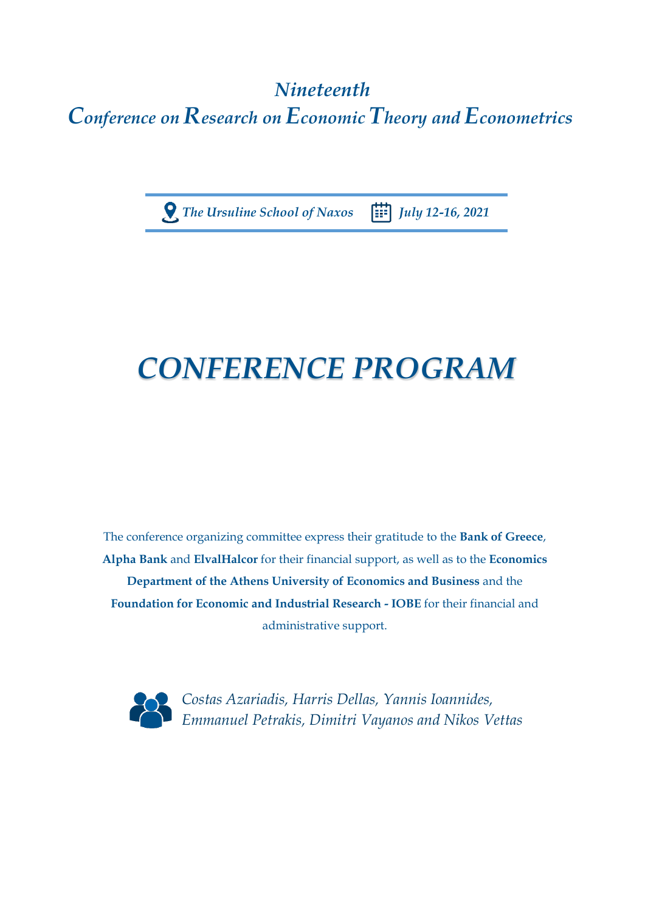## *Nineteenth Conference on Research on Economic Theory and Econometrics*

 *The Ursuline School of Naxos July 12-16, 2021*

# *CONFERENCE PROGRAM*

The conference organizing committee express their gratitude to the **Bank of Greece**, **Alpha Bank** and **ElvalHalcor** for their financial support, as well as to the **Economics Department of the Athens University of Economics and Business** and the **Foundation for Economic and Industrial Research - IOBE** for their financial and administrative support.



 *Costas Azariadis, Harris Dellas, Yannis Ioannides, Emmanuel Petrakis, Dimitri Vayanos and Nikos Vettas*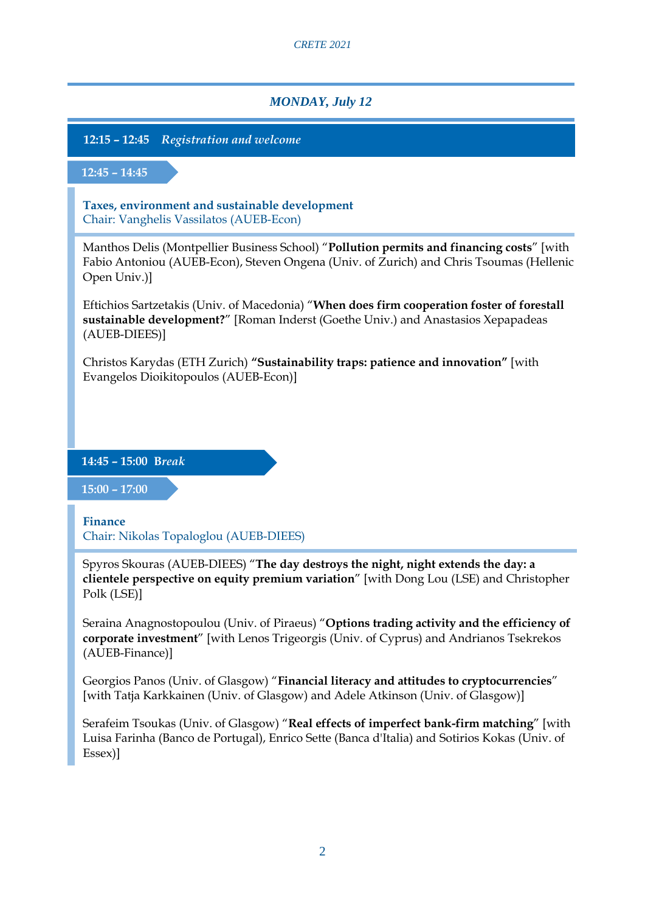*CRETE 2021*

#### *MONDAY, July 12*

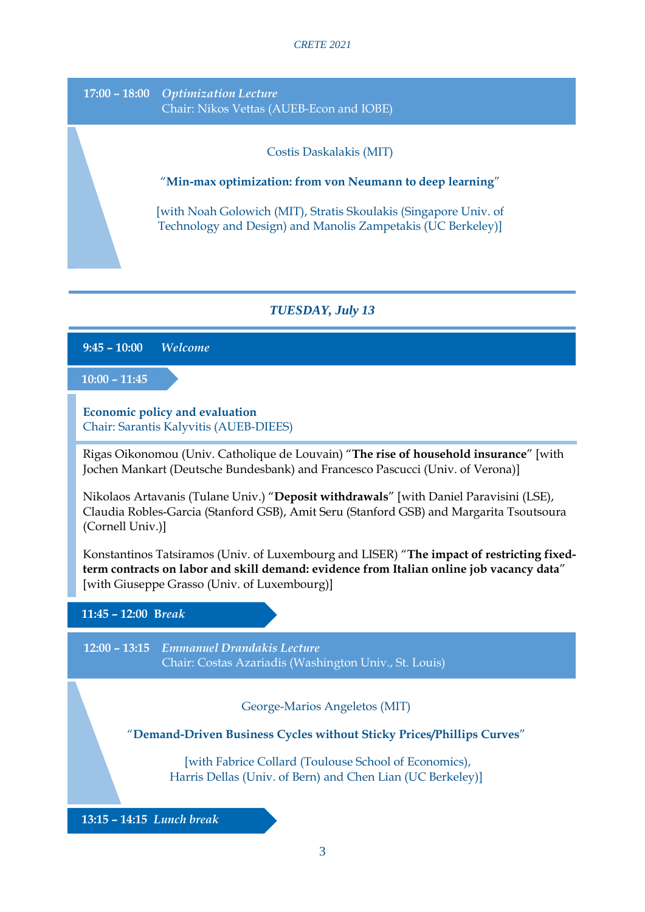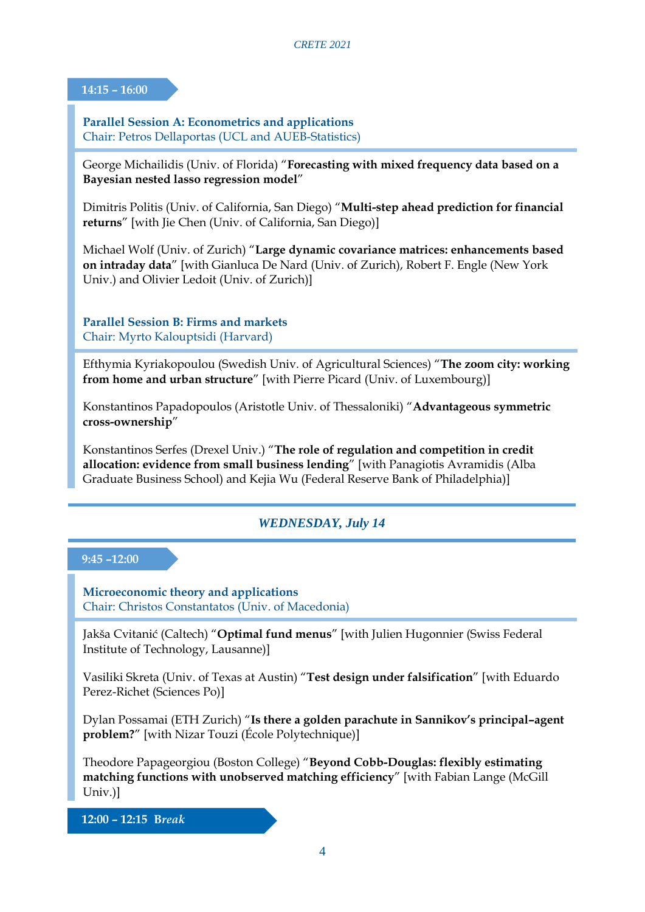#### **14:15 – 16:00**

**Parallel Session A: Econometrics and applications** Chair: Petros Dellaportas (UCL and AUEB-Statistics)

George Michailidis (Univ. of Florida) "**Forecasting with mixed frequency data based on a Bayesian nested lasso regression model**"

Dimitris Politis (Univ. of California, San Diego) "**Multi-step ahead prediction for financial returns**" [with Jie Chen (Univ. of California, San Diego)]

Michael Wolf (Univ. of Zurich) "**Large dynamic covariance matrices: enhancements based on intraday data**" [with Gianluca De Nard (Univ. of Zurich), Robert F. Engle (New York Univ.) and Olivier Ledoit (Univ. of Zurich)]

**Parallel Session B: Firms and markets** Chair: Myrto Kalouptsidi (Harvard)

Efthymia Kyriakopoulou (Swedish Univ. of Agricultural Sciences) "**The zoom city: working from home and urban structure**" [with Pierre Picard (Univ. of Luxembourg)]

Konstantinos Papadopoulos (Aristotle Univ. of Thessaloniki) "**Advantageous symmetric cross-ownership**"

Konstantinos Serfes (Drexel Univ.) "**The role of regulation and competition in credit allocation: evidence from small business lending**" [with Panagiotis Avramidis (Alba Graduate Business School) and Kejia Wu (Federal Reserve Bank of Philadelphia)]

#### *WEDNESDAY, July 14*

#### **9:45 –12:00**

**Microeconomic theory and applications** Chair: Christos Constantatos (Univ. of Macedonia)

Jakša Cvitanić (Caltech) "**Optimal fund menus**" [with Julien Hugonnier (Swiss Federal Institute of Technology, Lausanne)]

Vasiliki Skreta (Univ. of Texas at Austin) "**Test design under falsification**" [with Eduardo Perez-Richet (Sciences Po)]

Dylan Possamai (ETH Zurich) "**Is there a golden parachute in Sannikov's principal–agent problem?**" [with Nizar Touzi (École Polytechnique)]

Theodore Papageorgiou (Boston College) "**Beyond Cobb-Douglas: flexibly estimating matching functions with unobserved matching efficiency**" [with Fabian Lange (McGill Univ.)]

 **12:00 – 12:15 B***reak*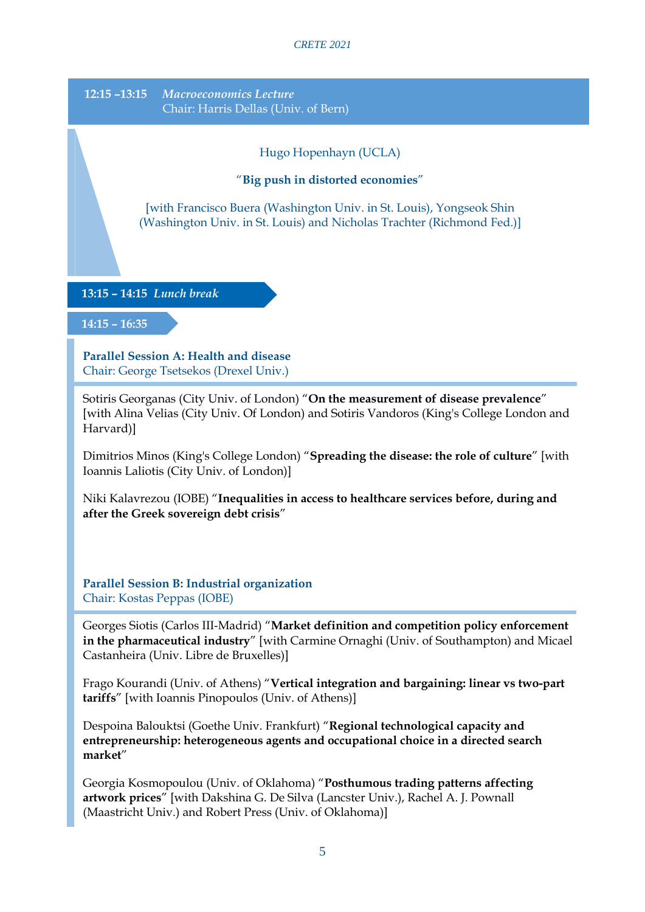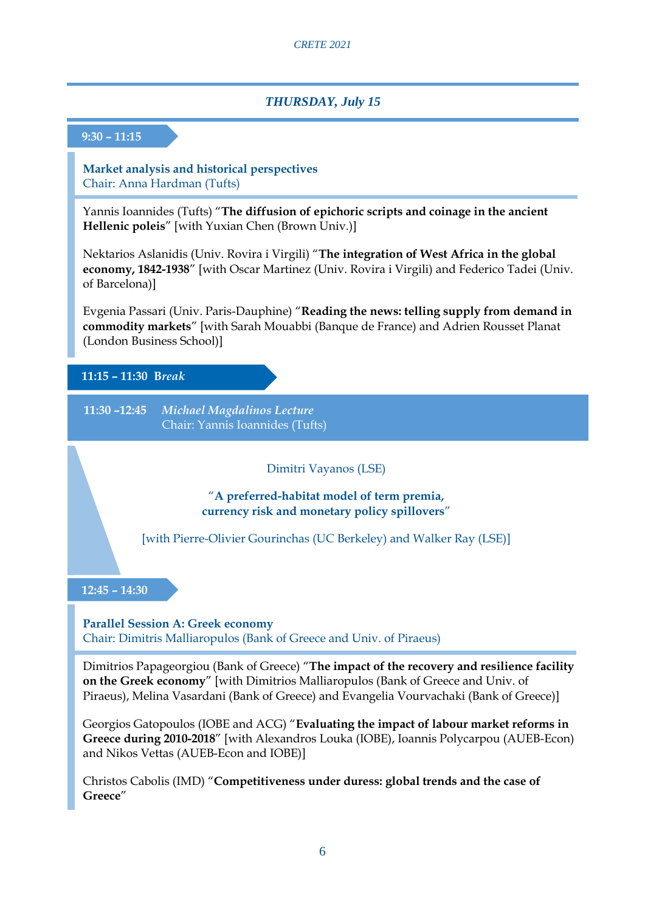#### *THURSDAY, July 15*

#### **9:30 – 11:15**

**Market analysis and historical perspectives** Chair: Anna Hardman (Tufts)

Yannis Ioannides (Tufts) "**The diffusion of epichoric scripts and coinage in the ancient Hellenic poleis**" [with Yuxian Chen (Brown Univ.)]

Nektarios Aslanidis (Univ. Rovira i Virgili) "**The integration of West Africa in the global economy, 1842-1938**" [with Oscar Martinez (Univ. Rovira i Virgili) and Federico Tadei (Univ. of Barcelona)]

Evgenia Passari (Univ. Paris-Dauphine) "**Reading the news: telling supply from demand in commodity markets**" [with Sarah Mouabbi (Banque de France) and Adrien Rousset Planat (London Business School)]

#### **11:15 – 11:30 B***reak*

**11:30 –12:45** *Michael Magdalinos Lecture* Chair: Yannis Ioannides (Tufts)

Dimitri Vayanos (LSE)

"**A preferred-habitat model of term premia, currency risk and monetary policy spillovers**"

[with Pierre-Olivier Gourinchas (UC Berkeley) and Walker Ray (LSE)]

#### **12:45 – 14:30**

**Parallel Session A: Greek economy** Chair: Dimitris Malliaropulos (Bank of Greece and Univ. of Piraeus)

Dimitrios Papageorgiou (Bank of Greece) "**The impact of the recovery and resilience facility on the Greek economy**" [with Dimitrios Malliaropulos (Bank of Greece and Univ. of Piraeus), Melina Vasardani (Bank of Greece) and Evangelia Vourvachaki (Bank of Greece)]

Georgios Gatopoulos (IOBE and ACG) "**Evaluating the impact of labour market reforms in Greece during 2010-2018**" [with Alexandros Louka (IOBE), Ioannis Polycarpou (AUEB-Econ) and Nikos Vettas (AUEB-Econ and IOBE)]

Christos Cabolis (IMD) "**Competitiveness under duress: global trends and the case of Greece**"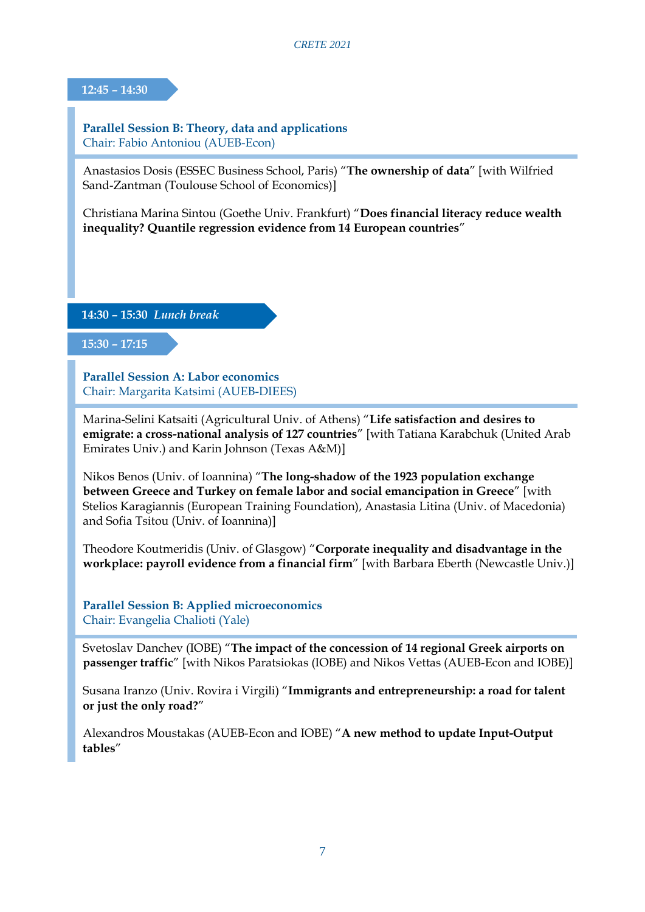**12:45 – 14:30**

**Parallel Session B: Theory, data and applications** Chair: Fabio Antoniou (AUEB-Econ)

Anastasios Dosis (ESSEC Business School, Paris) "**The ownership of data**" [with Wilfried Sand-Zantman (Toulouse School of Economics)]

Christiana Marina Sintou (Goethe Univ. Frankfurt) "**Does financial literacy reduce wealth inequality? Quantile regression evidence from 14 European countries**"

**14:30 – 15:30** *Lunch break*

**15:30 – 17:15**

**Parallel Session A: Labor economics** Chair: Margarita Katsimi (AUEB-DIEES)

Marina-Selini Katsaiti (Agricultural Univ. of Athens) "**Life satisfaction and desires to emigrate: a cross-national analysis of 127 countries**" [with Tatiana Karabchuk (United Arab Emirates Univ.) and Karin Johnson (Texas A&M)]

Nikos Benos (Univ. of Ioannina) "**The long-shadow of the 1923 population exchange between Greece and Turkey on female labor and social emancipation in Greece**" [with Stelios Karagiannis (European Training Foundation), Anastasia Litina (Univ. of Macedonia) and Sofia Tsitou (Univ. of Ioannina)]

Theodore Koutmeridis (Univ. of Glasgow) "**Corporate inequality and disadvantage in the workplace: payroll evidence from a financial firm**" [with Barbara Eberth (Newcastle Univ.)]

**Parallel Session B: Applied microeconomics** Chair: Evangelia Chalioti (Yale)

Svetoslav Danchev (IOBE) "**The impact of the concession of 14 regional Greek airports on passenger traffic**" [with Nikos Paratsiokas (IOBE) and Nikos Vettas (AUEB-Econ and IOBE)]

Susana Iranzo (Univ. Rovira i Virgili) "**Immigrants and entrepreneurship: a road for talent or just the only road?**"

Alexandros Moustakas (AUEB-Econ and IOBE) "**A new method to update Input-Output tables**"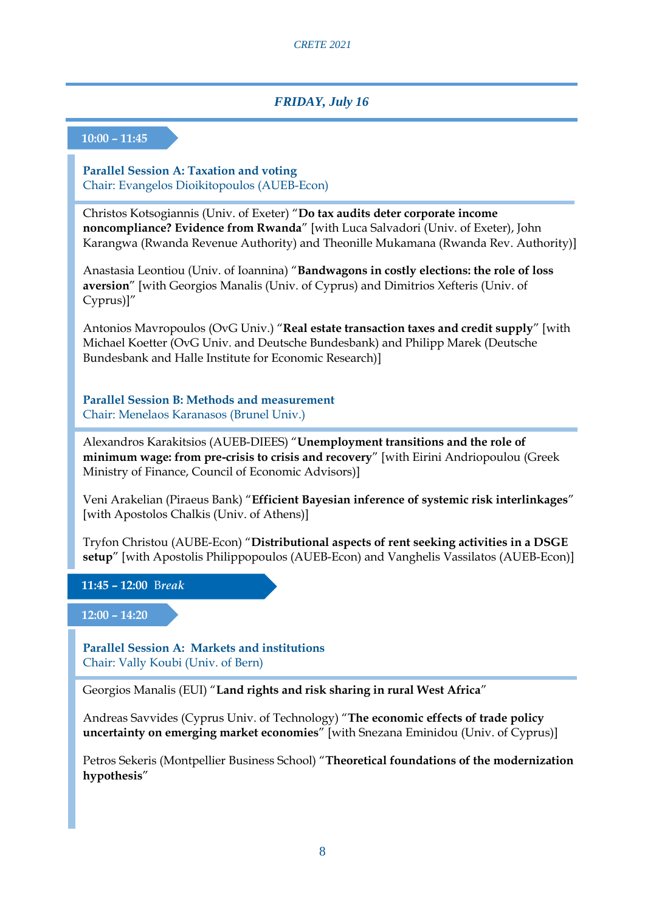#### *FRIDAY, July 16*

#### **10:00 – 11:45**

**Parallel Session A: Taxation and voting** Chair: Evangelos Dioikitopoulos (AUEB-Econ)

Christos Kotsogiannis (Univ. of Exeter) "**Do tax audits deter corporate income noncompliance? Evidence from Rwanda**" [with Luca Salvadori (Univ. of Exeter), John Karangwa (Rwanda Revenue Authority) and Theonille Mukamana (Rwanda Rev. Authority)]

Anastasia Leontiou (Univ. of Ioannina) "**Bandwagons in costly elections: the role of loss aversion**" [with Georgios Manalis (Univ. of Cyprus) and Dimitrios Xefteris (Univ. of Cyprus)]"

Antonios Mavropoulos (OvG Univ.) "**Real estate transaction taxes and credit supply**" [with Michael Koetter (OvG Univ. and Deutsche Bundesbank) and Philipp Marek (Deutsche Bundesbank and Halle Institute for Economic Research)]

**Parallel Session B: Methods and measurement** Chair: Menelaos Karanasos (Brunel Univ.)

Alexandros Karakitsios (AUEB-DIEES) "**Unemployment transitions and the role of minimum wage: from pre-crisis to crisis and recovery**" [with Eirini Andriopoulou (Greek Ministry of Finance, Council of Economic Advisors)]

Veni Arakelian (Piraeus Bank) "**Efficient Bayesian inference of systemic risk interlinkages**" [with Apostolos Chalkis (Univ. of Athens)]

Tryfon Christou (AUBE-Econ) "**Distributional aspects of rent seeking activities in a DSGE setup**" [with Apostolis Philippopoulos (AUEB-Econ) and Vanghelis Vassilatos (AUEB-Econ)]

**11:45 – 12:00** B*reak*

**12:00 – 14:20**

**Parallel Session A: Markets and institutions** Chair: Vally Koubi (Univ. of Bern)

Georgios Manalis (EUI) "**Land rights and risk sharing in rural West Africa**"

Andreas Savvides (Cyprus Univ. of Technology) "**The economic effects of trade policy uncertainty on emerging market economies**" [with Snezana Eminidou (Univ. of Cyprus)]

Petros Sekeris (Montpellier Business School) "**Theoretical foundations of the modernization hypothesis**"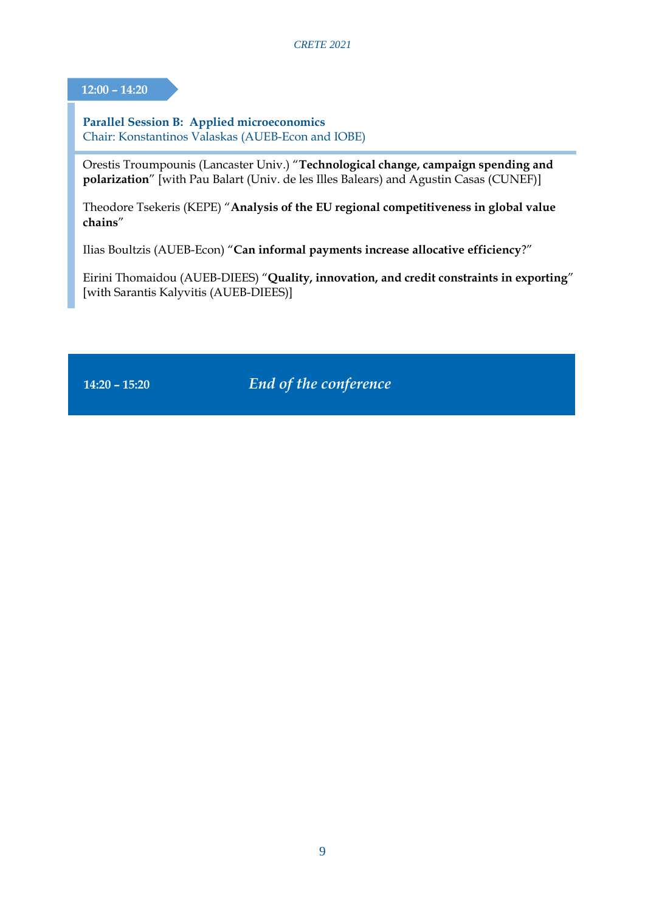**12:00 – 14:20**

**Parallel Session B: Applied microeconomics** Chair: Konstantinos Valaskas (AUEB-Econ and IOBE)

Orestis Troumpounis (Lancaster Univ.) "**Technological change, campaign spending and polarization**" [with Pau Balart (Univ. de les Illes Balears) and Agustin Casas (CUNEF)]

Theodore Tsekeris (KEPE) "**Analysis of the EU regional competitiveness in global value chains**"

Ilias Boultzis (AUEB-Econ) "**Can informal payments increase allocative efficiency**?"

Eirini Thomaidou (AUEB-DIEES) "**Quality, innovation, and credit constraints in exporting**" [with Sarantis Kalyvitis (AUEB-DIEES)]

**14:20 – 15:20** *End of the conference*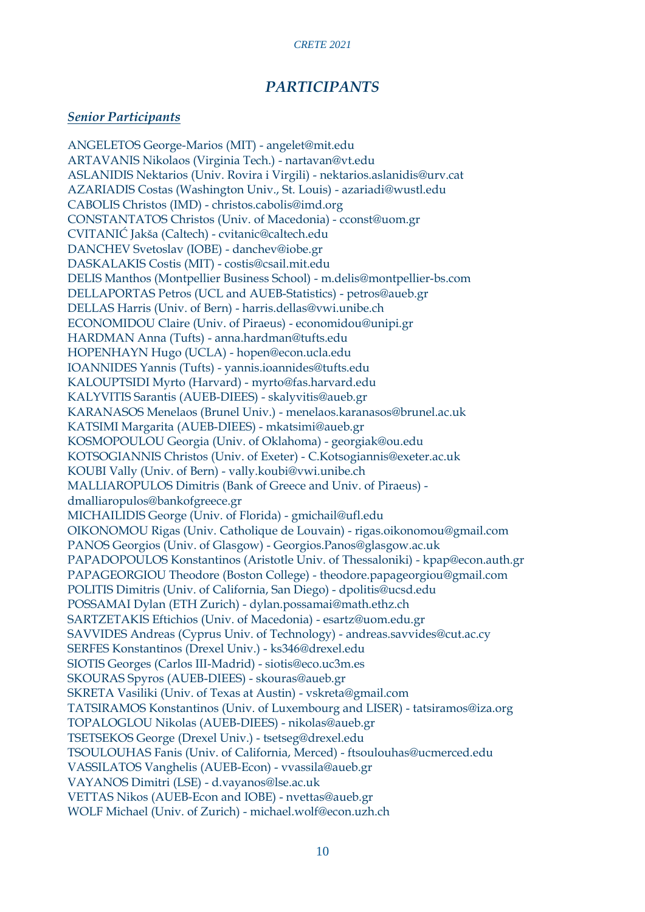#### *PARTICIPANTS*

#### *Senior Participants*

ANGELETOS George-Marios (MIT) - angelet@mit.edu ARTAVANIS Nikolaos (Virginia Tech.) - nartavan@vt.edu ASLANIDIS Nektarios (Univ. Rovira i Virgili) - nektarios.aslanidis@urv.cat AZARIADIS Costas (Washington Univ., St. Louis) - azariadi@wustl.edu CABOLIS Christos (IMD) - christos.cabolis@imd.org CONSTANTATOS Christos (Univ. of Macedonia) - cconst@uom.gr CVITANIĆ Jakša (Caltech) - cvitanic@caltech.edu DANCHEV Svetoslav (IOBE) - danchev@iobe.gr DASKALAKIS Costis (MIT) - costis@csail.mit.edu DELIS Manthos (Montpellier Business School) - m.delis@montpellier-bs.com DELLAPORTAS Petros (UCL and AUEB-Statistics) - petros@aueb.gr DELLAS Harris (Univ. of Bern) - harris.dellas@vwi.unibe.ch ECONOMIDOU Claire (Univ. of Piraeus) - economidou@unipi.gr HARDMAN Anna (Tufts) - anna.hardman@tufts.edu HOPENHAYN Hugo (UCLA) - hopen@econ.ucla.edu IOANNIDES Yannis (Tufts) - yannis.ioannides@tufts.edu KALOUPTSIDI Myrto (Harvard) - myrto@fas.harvard.edu KALYVITIS Sarantis (AUEB-DIEES) - skalyvitis@aueb.gr KARANASOS Menelaos (Brunel Univ.) - menelaos.karanasos@brunel.ac.uk KATSIMI Margarita (AUEB-DIEES) - mkatsimi@aueb.gr KOSMOPOULOU Georgia (Univ. of Oklahoma) - georgiak@ou.edu KOTSOGIANNIS Christos (Univ. of Exeter) - C.Kotsogiannis@exeter.ac.uk KOUBI Vally (Univ. of Bern) - vally.koubi@vwi.unibe.ch MALLIAROPULOS Dimitris (Bank of Greece and Univ. of Piraeus) dmalliaropulos@bankofgreece.gr MICHAILIDIS George (Univ. of Florida) - gmichail@ufl.edu OIKONOMOU Rigas (Univ. Catholique de Louvain) - rigas.oikonomou@gmail.com PANOS Georgios (Univ. of Glasgow) - Georgios.Panos@glasgow.ac.uk PAPADOPOULOS Konstantinos (Aristotle Univ. of Thessaloniki) - kpap@econ.auth.gr PAPAGEORGIOU Theodore (Boston College) - theodore.papageorgiou@gmail.com POLITIS Dimitris (Univ. of California, San Diego) - dpolitis@ucsd.edu POSSAMAI Dylan (ETH Zurich) - dylan.possamai@math.ethz.ch SARTZETAKIS Eftichios (Univ. of Macedonia) - esartz@uom.edu.gr SAVVIDES Andreas (Cyprus Univ. of Technology) - andreas.savvides@cut.ac.cy SERFES Konstantinos (Drexel Univ.) - ks346@drexel.edu SIOTIS Georges (Carlos III-Madrid) - siotis@eco.uc3m.es SKOURAS Spyros (AUEB-DIEES) - skouras@aueb.gr SKRETA Vasiliki (Univ. of Texas at Austin) - vskreta@gmail.com TATSIRAMOS Konstantinos (Univ. of Luxembourg and LISER) - tatsiramos@iza.org TOPALOGLOU Nikolas (AUEB-DIEES) - nikolas@aueb.gr TSETSEKOS George (Drexel Univ.) - tsetseg@drexel.edu TSOULOUHAS Fanis (Univ. of California, Merced) - ftsoulouhas@ucmerced.edu VASSILATOS Vanghelis (AUEB-Econ) - vvassila@aueb.gr VAYANOS Dimitri (LSE) - d.vayanos@lse.ac.uk VETTAS Nikos (AUEB-Econ and IOBE) - nvettas@aueb.gr WOLF Michael (Univ. of Zurich) - michael.wolf@econ.uzh.ch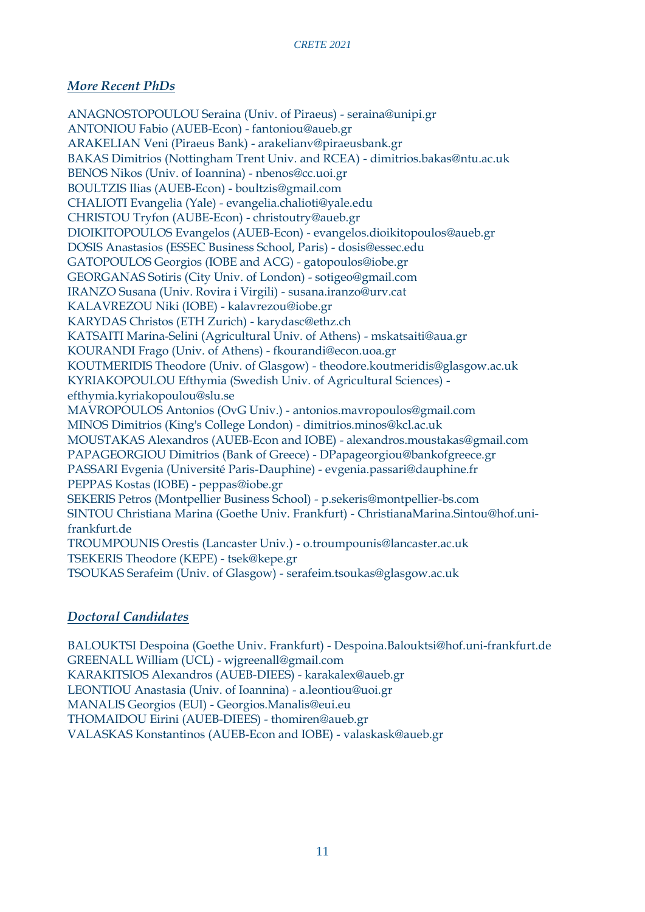#### *More Recent PhDs*

ANAGNOSTOPOULOU Seraina (Univ. of Piraeus) - seraina@unipi.gr ANTONIOU Fabio (AUEB-Econ) - fantoniou@aueb.gr ARAKELIAN Veni (Piraeus Bank) - arakelianv@piraeusbank.gr BAKAS Dimitrios (Nottingham Trent Univ. and RCEA) - dimitrios.bakas@ntu.ac.uk BENOS Nikos (Univ. of Ioannina) - nbenos@cc.uoi.gr BOULTZIS Ilias (AUEB-Econ) - boultzis@gmail.com CHALIOTI Evangelia (Yale) - evangelia.chalioti@yale.edu CHRISTOU Tryfon (AUBE-Econ) - christoutry@aueb.gr DIOIKITOPOULOS Evangelos (AUEB-Econ) - evangelos.dioikitopoulos@aueb.gr DOSIS Anastasios (ESSEC Business School, Paris) - dosis@essec.edu GATOPOULOS Georgios (IOBE and ACG) - gatopoulos@iobe.gr GEORGANAS Sotiris (City Univ. of London) - sotigeo@gmail.com IRANZO Susana (Univ. Rovira i Virgili) - susana.iranzo@urv.cat KALAVREZOU Niki (IOBE) - kalavrezou@iobe.gr KARYDAS Christos (ETH Zurich) - karydasc@ethz.ch KATSAITI Marina-Selini (Agricultural Univ. of Athens) - mskatsaiti@aua.gr KOURANDI Frago (Univ. of Athens) - fkourandi@econ.uoa.gr KOUTMERIDIS Theodore (Univ. of Glasgow) - theodore.koutmeridis@glasgow.ac.uk KYRIAKOPOULOU Efthymia (Swedish Univ. of Agricultural Sciences) efthymia.kyriakopoulou@slu.se MAVROPOULOS Antonios (OvG Univ.) - antonios.mavropoulos@gmail.com MINOS Dimitrios (King's College London) - dimitrios.minos@kcl.ac.uk MOUSTAKAS Alexandros (AUEB-Econ and IOBE) - alexandros.moustakas@gmail.com PAPAGEORGIOU Dimitrios (Bank of Greece) - DPapageorgiou@bankofgreece.gr PASSARI Evgenia (Université Paris-Dauphine) - evgenia.passari@dauphine.fr PEPPAS Kostas (IOBE) - peppas@iobe.gr SEKERIS Petros (Montpellier Business School) - p.sekeris@montpellier-bs.com SINTOU Christiana Marina (Goethe Univ. Frankfurt) - ChristianaMarina.Sintou@hof.unifrankfurt.de TROUMPOUNIS Orestis (Lancaster Univ.) - o.troumpounis@lancaster.ac.uk TSEKERIS Theodore (KEPE) - tsek@kepe.gr TSOUKAS Serafeim (Univ. of Glasgow) - serafeim.tsoukas@glasgow.ac.uk

#### *Doctoral Candidates*

BALOUKTSI Despoina (Goethe Univ. Frankfurt) - Despoina.Balouktsi@hof.uni-frankfurt.de GREENALL William (UCL) - wjgreenall@gmail.com KARAKITSIOS Alexandros (AUEB-DIEES) - karakalex@aueb.gr LEONTIOU Anastasia (Univ. of Ioannina) - a.leontiou@uoi.gr MANALIS Georgios (EUI) - Georgios.Manalis@eui.eu THOMAIDOU Eirini (AUEB-DIEES) - thomiren@aueb.gr VALASKAS Konstantinos (AUEB-Econ and IOBE) - valaskask@aueb.gr